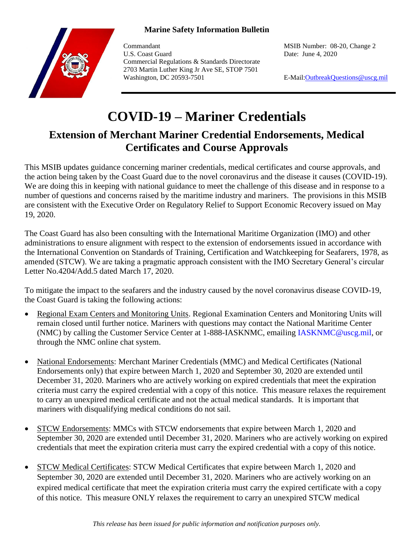## **Marine Safety Information Bulletin**



Commandant MSIB Number: 08-20, Change 2 U.S. Coast Guard Date: June 4, 2020 Commercial Regulations & Standards Directorate 2703 Martin Luther King Jr Ave SE, STOP 7501 Washington, DC 20593-7501 **E-Mail:**OutbreakQuestions@uscg.mil

## **COVID-19 – Mariner Credentials**

## **Extension of Merchant Mariner Credential Endorsements, Medical Certificates and Course Approvals**

This MSIB updates guidance concerning mariner credentials, medical certificates and course approvals, and the action being taken by the Coast Guard due to the novel coronavirus and the disease it causes (COVID-19). We are doing this in keeping with national guidance to meet the challenge of this disease and in response to a number of questions and concerns raised by the maritime industry and mariners. The provisions in this MSIB are consistent with the Executive Order on Regulatory Relief to Support Economic Recovery issued on May 19, 2020.

The Coast Guard has also been consulting with the International Maritime Organization (IMO) and other administrations to ensure alignment with respect to the extension of endorsements issued in accordance with the International Convention on Standards of Training, Certification and Watchkeeping for Seafarers, 1978, as amended (STCW). We are taking a pragmatic approach consistent with the IMO Secretary General's circular Letter No.4204/Add.5 dated March 17, 2020.

To mitigate the impact to the seafarers and the industry caused by the novel coronavirus disease COVID-19, the Coast Guard is taking the following actions:

- Regional Exam Centers and Monitoring Units. Regional Examination Centers and Monitoring Units will remain closed until further notice. Mariners with questions may contact the National Maritime Center (NMC) by calling the Customer Service Center at 1-888-IASKNMC, emailing IASKNMC@uscg.mil, or through the NMC online chat system.
- National Endorsements: Merchant Mariner Credentials (MMC) and Medical Certificates (National Endorsements only) that expire between March 1, 2020 and September 30, 2020 are extended until December 31, 2020. Mariners who are actively working on expired credentials that meet the expiration criteria must carry the expired credential with a copy of this notice. This measure relaxes the requirement to carry an unexpired medical certificate and not the actual medical standards. It is important that mariners with disqualifying medical conditions do not sail.
- STCW Endorsements: MMCs with STCW endorsements that expire between March 1, 2020 and September 30, 2020 are extended until December 31, 2020. Mariners who are actively working on expired credentials that meet the expiration criteria must carry the expired credential with a copy of this notice.
- STCW Medical Certificates: STCW Medical Certificates that expire between March 1, 2020 and September 30, 2020 are extended until December 31, 2020. Mariners who are actively working on an expired medical certificate that meet the expiration criteria must carry the expired certificate with a copy of this notice. This measure ONLY relaxes the requirement to carry an unexpired STCW medical